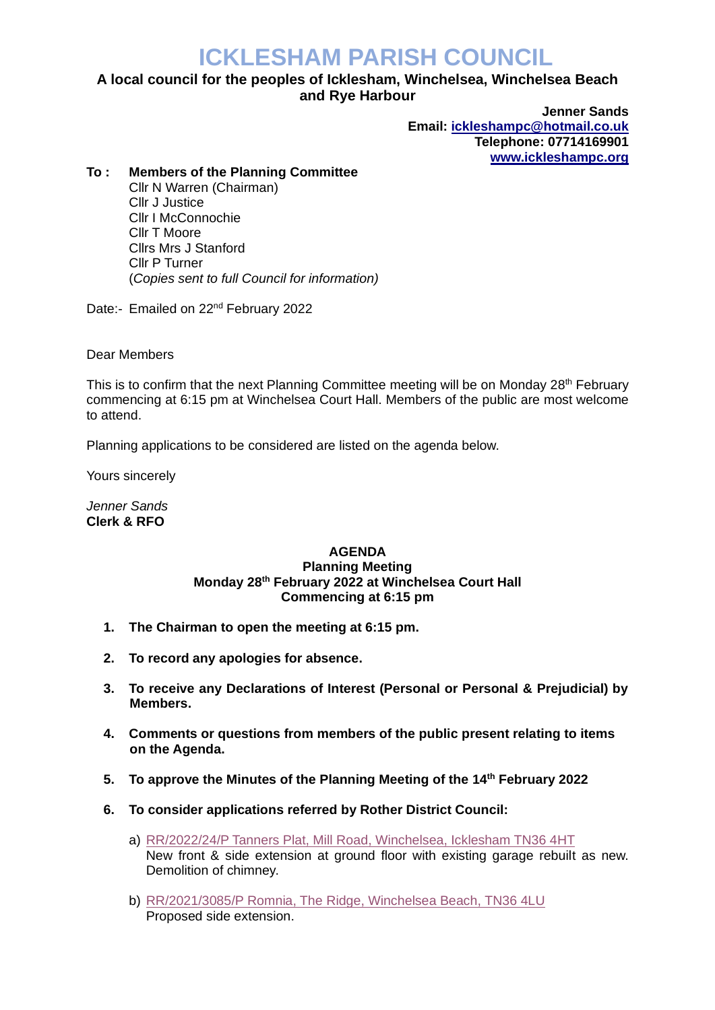## **ICKLESHAM PARISH COUNCIL**

## **A local council for the peoples of Icklesham, Winchelsea, Winchelsea Beach and Rye Harbour**

**Jenner Sands Email: [ickleshampc@hotmail.co.uk](mailto:ickleshampc@hotmail.co.uk) Telephone: 07714169901 [www.ickleshampc.org](http://www.ickleshampc.org/)**

## **To : Members of the Planning Committee**

Cllr N Warren (Chairman) Cllr J Justice Cllr I McConnochie Cllr T Moore Cllrs Mrs J Stanford Cllr P Turner (*Copies sent to full Council for information)*

Date:- Emailed on 22<sup>nd</sup> February 2022

Dear Members

This is to confirm that the next Planning Committee meeting will be on Monday 28<sup>th</sup> February commencing at 6:15 pm at Winchelsea Court Hall. Members of the public are most welcome to attend.

Planning applications to be considered are listed on the agenda below.

Yours sincerely

*Jenner Sands* **Clerk & RFO**

## **AGENDA Planning Meeting Monday 28th February 2022 at Winchelsea Court Hall Commencing at 6:15 pm**

- **1. The Chairman to open the meeting at 6:15 pm.**
- **2. To record any apologies for absence.**
- **3. To receive any Declarations of Interest (Personal or Personal & Prejudicial) by Members.**
- **4. Comments or questions from members of the public present relating to items on the Agenda.**
- **5. To approve the Minutes of the Planning Meeting of the 14th February 2022**
- **6. To consider applications referred by Rother District Council:**
	- a) RR/2022/24/P [Tanners Plat, Mill Road, Winchelsea, Icklesham TN36 4HT](http://planweb01.rother.gov.uk/OcellaWeb/planningDetails?reference=RR/2022/24/P) New front & side extension at ground floor with existing garage rebuilt as new. Demolition of chimney.
	- b) [RR/2021/3085/P Romnia, The Ridge, Winchelsea Beach,](http://planweb01.rother.gov.uk/OcellaWeb/planningDetails?reference=RR/2021/3085/P) TN36 4LU Proposed side extension.